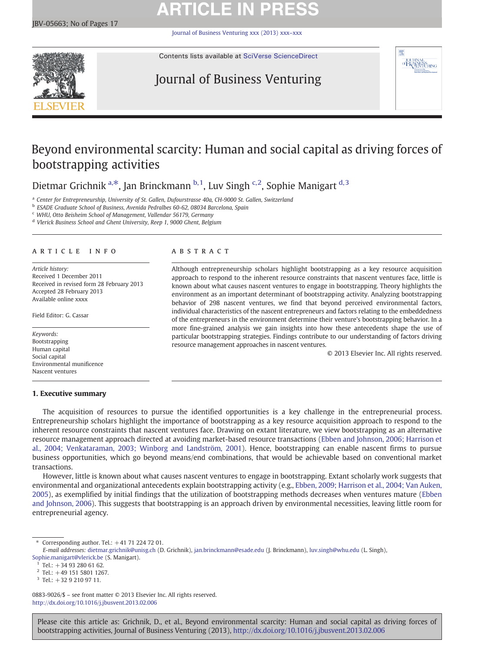# **ARTICLE IN PRESS**

[Journal of Business Venturing xxx \(2013\) xxx](http://dx.doi.org/10.1016/j.jbusvent.2013.02.006)–xxx



Contents lists available at [SciVerse ScienceDirect](http://www.sciencedirect.com/science/journal/08839026)

## Journal of Business Venturing



## Beyond environmental scarcity: Human and social capital as driving forces of bootstrapping activities

Dietmar Grichnik a,<sup>\*</sup>, Jan Brinckmann  $b$ ,<sup>1</sup>, Luv Singh <sup>c,2</sup>, Sophie Manigart d,<sup>3</sup>

<sup>a</sup> Center for Entrepreneurship, University of St. Gallen, Dufourstrasse 40a, CH-9000 St. Gallen, Switzerland

<sup>b</sup> ESADE Graduate School of Business, Avenida Pedralbes 60-62, 08034 Barcelona, Spain

<sup>c</sup> WHU, Otto Beisheim School of Management, Vallendar 56179, Germany

<sup>d</sup> Vlerick Business School and Ghent University, Reep 1, 9000 Ghent, Belgium

### article info abstract

Article history: Received 1 December 2011 Received in revised form 28 February 2013 Accepted 28 February 2013 Available online xxxx

Field Editor: G. Cassar

Keywords: Bootstrapping Human capital Social capital Environmental munificence Nascent ventures

## 1. Executive summary

Although entrepreneurship scholars highlight bootstrapping as a key resource acquisition approach to respond to the inherent resource constraints that nascent ventures face, little is known about what causes nascent ventures to engage in bootstrapping. Theory highlights the environment as an important determinant of bootstrapping activity. Analyzing bootstrapping behavior of 298 nascent ventures, we find that beyond perceived environmental factors, individual characteristics of the nascent entrepreneurs and factors relating to the embeddedness of the entrepreneurs in the environment determine their venture's bootstrapping behavior. In a more fine-grained analysis we gain insights into how these antecedents shape the use of particular bootstrapping strategies. Findings contribute to our understanding of factors driving resource management approaches in nascent ventures.

© 2013 Elsevier Inc. All rights reserved.

The acquisition of resources to pursue the identified opportunities is a key challenge in the entrepreneurial process. Entrepreneurship scholars highlight the importance of bootstrapping as a key resource acquisition approach to respond to the inherent resource constraints that nascent ventures face. Drawing on extant literature, we view bootstrapping as an alternative resource management approach directed at avoiding market-based resource transactions ([Ebben and Johnson, 2006; Harrison et](#page--1-0) [al., 2004; Venkataraman, 2003; Winborg and Landström, 2001](#page--1-0)). Hence, bootstrapping can enable nascent firms to pursue business opportunities, which go beyond means/end combinations, that would be achievable based on conventional market transactions.

However, little is known about what causes nascent ventures to engage in bootstrapping. Extant scholarly work suggests that environmental and organizational antecedents explain bootstrapping activity (e.g., [Ebben, 2009; Harrison et al., 2004; Van Auken,](#page--1-0) [2005](#page--1-0)), as exemplified by initial findings that the utilization of bootstrapping methods decreases when ventures mature ([Ebben](#page--1-0) [and Johnson, 2006](#page--1-0)). This suggests that bootstrapping is an approach driven by environmental necessities, leaving little room for entrepreneurial agency.

0883-9026/\$ – see front matter © 2013 Elsevier Inc. All rights reserved. <http://dx.doi.org/10.1016/j.jbusvent.2013.02.006>

Please cite this article as: Grichnik, D., et al., Beyond environmental scarcity: Human and social capital as driving forces of bootstrapping activities, Journal of Business Venturing (2013), <http://dx.doi.org/10.1016/j.jbusvent.2013.02.006>

 $*$  Corresponding author. Tel.:  $+41$  71 224 72 01.

E-mail addresses: [dietmar.grichnik@unisg.ch](mailto:dietmar.grichnik@unisg.ch) (D. Grichnik), [jan.brinckmann@esade.edu](mailto:jan.brinckmann@esade.edu) (J. Brinckmann), [luv.singh@whu.edu](mailto:luv.singh@whu.edu) (L. Singh),

[Sophie.manigart@vlerick.be](mailto:Sophie.manigart@vlerick.be) (S. Manigart).

 $1$  Tel.:  $+34$  93 280 61 62.

 $2$  Tel.: +49 151 5801 1267.

 $3$  Tel.: +32 9 210 97 11.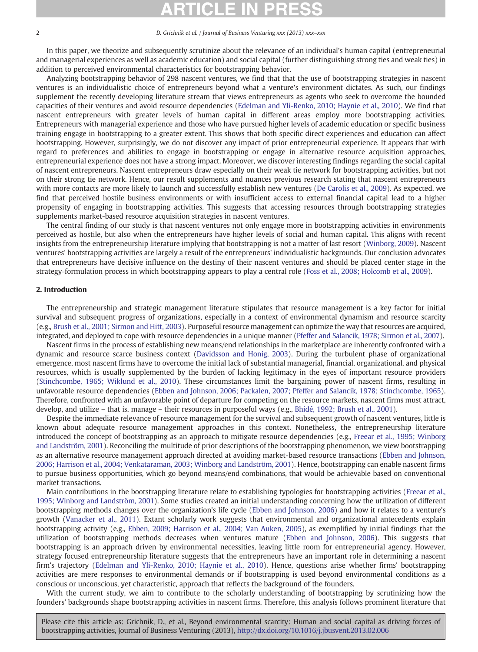### 2 D. Grichnik et al. / Journal of Business Venturing xxx (2013) xxx–xxx

In this paper, we theorize and subsequently scrutinize about the relevance of an individual's human capital (entrepreneurial and managerial experiences as well as academic education) and social capital (further distinguishing strong ties and weak ties) in addition to perceived environmental characteristics for bootstrapping behavior.

Analyzing bootstrapping behavior of 298 nascent ventures, we find that that the use of bootstrapping strategies in nascent ventures is an individualistic choice of entrepreneurs beyond what a venture's environment dictates. As such, our findings supplement the recently developing literature stream that views entrepreneurs as agents who seek to overcome the bounded capacities of their ventures and avoid resource dependencies [\(Edelman and Yli-Renko, 2010; Haynie et al., 2010](#page--1-0)). We find that nascent entrepreneurs with greater levels of human capital in different areas employ more bootstrapping activities. Entrepreneurs with managerial experience and those who have pursued higher levels of academic education or specific business training engage in bootstrapping to a greater extent. This shows that both specific direct experiences and education can affect bootstrapping. However, surprisingly, we do not discover any impact of prior entrepreneurial experience. It appears that with regard to preferences and abilities to engage in bootstrapping or engage in alternative resource acquisition approaches, entrepreneurial experience does not have a strong impact. Moreover, we discover interesting findings regarding the social capital of nascent entrepreneurs. Nascent entrepreneurs draw especially on their weak tie network for bootstrapping activities, but not on their strong tie network. Hence, our result supplements and nuances previous research stating that nascent entrepreneurs with more contacts are more likely to launch and successfully establish new ventures ([De Carolis et al., 2009](#page--1-0)). As expected, we find that perceived hostile business environments or with insufficient access to external financial capital lead to a higher propensity of engaging in bootstrapping activities. This suggests that accessing resources through bootstrapping strategies supplements market-based resource acquisition strategies in nascent ventures.

The central finding of our study is that nascent ventures not only engage more in bootstrapping activities in environments perceived as hostile, but also when the entrepreneurs have higher levels of social and human capital. This aligns with recent insights from the entrepreneurship literature implying that bootstrapping is not a matter of last resort [\(Winborg, 2009](#page--1-0)). Nascent ventures' bootstrapping activities are largely a result of the entrepreneurs' individualistic backgrounds. Our conclusion advocates that entrepreneurs have decisive influence on the destiny of their nascent ventures and should be placed center stage in the strategy-formulation process in which bootstrapping appears to play a central role ([Foss et al., 2008; Holcomb et al., 2009](#page--1-0)).

## 2. Introduction

The entrepreneurship and strategic management literature stipulates that resource management is a key factor for initial survival and subsequent progress of organizations, especially in a context of environmental dynamism and resource scarcity (e.g., [Brush et al., 2001; Sirmon and Hitt, 2003\)](#page--1-0). Purposeful resource management can optimize the way that resources are acquired, integrated, and deployed to cope with resource dependencies in a unique manner [\(Pfeffer and Salancik, 1978; Sirmon et al., 2007\)](#page--1-0).

Nascent firms in the process of establishing new means/end relationships in the marketplace are inherently confronted with a dynamic and resource scarce business context [\(Davidsson and Honig, 2003](#page--1-0)). During the turbulent phase of organizational emergence, most nascent firms have to overcome the initial lack of substantial managerial, financial, organizational, and physical resources, which is usually supplemented by the burden of lacking legitimacy in the eyes of important resource providers ([Stinchcombe, 1965; Wiklund et al., 2010\)](#page--1-0). These circumstances limit the bargaining power of nascent firms, resulting in unfavorable resource dependencies [\(Ebben and Johnson, 2006; Packalen, 2007; Pfeffer and Salancik, 1978; Stinchcombe, 1965](#page--1-0)). Therefore, confronted with an unfavorable point of departure for competing on the resource markets, nascent firms must attract, develop, and utilize – that is, manage – their resources in purposeful ways (e.g., [Bhidé, 1992; Brush et al., 2001](#page--1-0)).

Despite the immediate relevance of resource management for the survival and subsequent growth of nascent ventures, little is known about adequate resource management approaches in this context. Nonetheless, the entrepreneurship literature introduced the concept of bootstrapping as an approach to mitigate resource dependencies (e.g., [Freear et al., 1995; Winborg](#page--1-0) [and Landström, 2001\)](#page--1-0). Reconciling the multitude of prior descriptions of the bootstrapping phenomenon, we view bootstrapping as an alternative resource management approach directed at avoiding market-based resource transactions ([Ebben and Johnson,](#page--1-0) [2006; Harrison et al., 2004; Venkataraman, 2003; Winborg and Landström, 2001\)](#page--1-0). Hence, bootstrapping can enable nascent firms to pursue business opportunities, which go beyond means/end combinations, that would be achievable based on conventional market transactions.

Main contributions in the bootstrapping literature relate to establishing typologies for bootstrapping activities ([Freear et al.,](#page--1-0) [1995; Winborg and Landström, 2001\)](#page--1-0). Some studies created an initial understanding concerning how the utilization of different bootstrapping methods changes over the organization's life cycle [\(Ebben and Johnson, 2006\)](#page--1-0) and how it relates to a venture's growth [\(Vanacker et al., 2011\)](#page--1-0). Extant scholarly work suggests that environmental and organizational antecedents explain bootstrapping activity (e.g., [Ebben, 2009; Harrison et al., 2004; Van Auken, 2005\)](#page--1-0), as exemplified by initial findings that the utilization of bootstrapping methods decreases when ventures mature ([Ebben and Johnson, 2006](#page--1-0)). This suggests that bootstrapping is an approach driven by environmental necessities, leaving little room for entrepreneurial agency. However, strategy focused entrepreneurship literature suggests that the entrepreneurs have an important role in determining a nascent firm's trajectory ([Edelman and Yli-Renko, 2010; Haynie et al., 2010\)](#page--1-0). Hence, questions arise whether firms' bootstrapping activities are mere responses to environmental demands or if bootstrapping is used beyond environmental conditions as a conscious or unconscious, yet characteristic, approach that reflects the background of the founders.

With the current study, we aim to contribute to the scholarly understanding of bootstrapping by scrutinizing how the founders' backgrounds shape bootstrapping activities in nascent firms. Therefore, this analysis follows prominent literature that

Please cite this article as: Grichnik, D., et al., Beyond environmental scarcity: Human and social capital as driving forces of bootstrapping activities, Journal of Business Venturing (2013), <http://dx.doi.org/10.1016/j.jbusvent.2013.02.006>